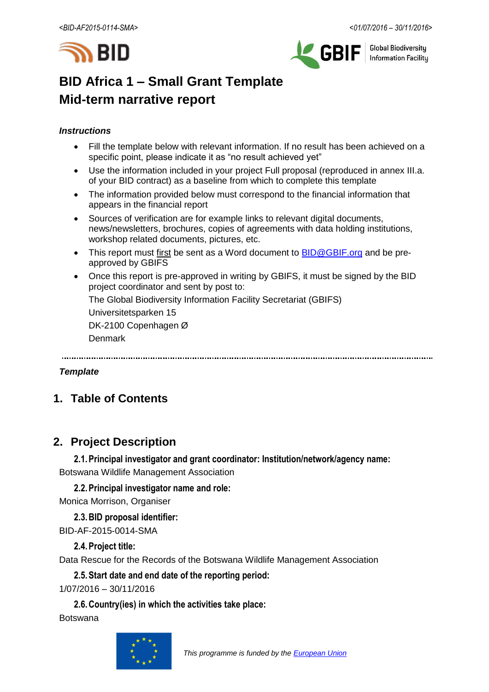



**Global Biodiversity Information Facilitu** 

# **BID Africa 1 – Small Grant Template Mid-term narrative report**

## *Instructions*

- Fill the template below with relevant information. If no result has been achieved on a specific point, please indicate it as "no result achieved yet"
- Use the information included in your project Full proposal (reproduced in annex III.a. of your BID contract) as a baseline from which to complete this template
- The information provided below must correspond to the financial information that appears in the financial report
- Sources of verification are for example links to relevant digital documents, news/newsletters, brochures, copies of agreements with data holding institutions, workshop related documents, pictures, etc.
- This report must first be sent as a Word document to **BID@GBIF.org** and be preapproved by GBIFS
- Once this report is pre-approved in writing by GBIFS, it must be signed by the BID project coordinator and sent by post to:

The Global Biodiversity Information Facility Secretariat (GBIFS)

Universitetsparken 15

DK-2100 Copenhagen Ø

Denmark

## *Template*

# **1. Table of Contents**

# **2. Project Description**

**2.1.Principal investigator and grant coordinator: Institution/network/agency name:** Botswana Wildlife Management Association

**2.2.Principal investigator name and role:**

Monica Morrison, Organiser

**2.3.BID proposal identifier:**

BID-AF-2015-0014-SMA

# **2.4.Project title:**

Data Rescue for the Records of the Botswana Wildlife Management Association

**2.5.Start date and end date of the reporting period:**

1/07/2016 – 30/11/2016

**2.6.Country(ies) in which the activities take place:**

Botswana

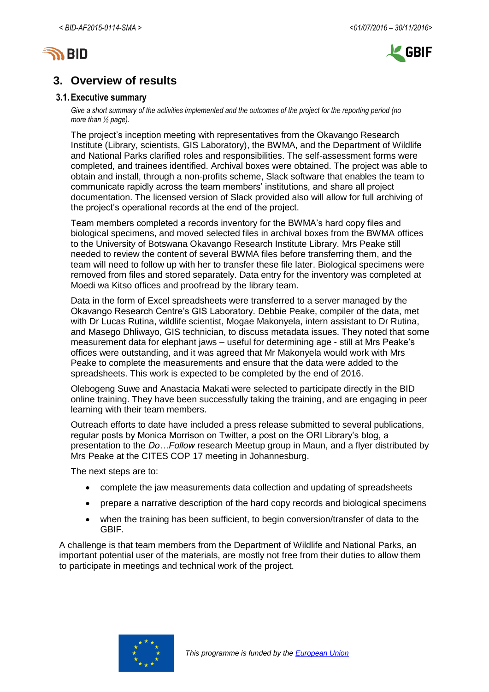



# **3. Overview of results**

#### **3.1.Executive summary**

*Give a short summary of the activities implemented and the outcomes of the project for the reporting period (no more than ½ page).*

The project's inception meeting with representatives from the Okavango Research Institute (Library, scientists, GIS Laboratory), the BWMA, and the Department of Wildlife and National Parks clarified roles and responsibilities. The self-assessment forms were completed, and trainees identified. Archival boxes were obtained. The project was able to obtain and install, through a non-profits scheme, Slack software that enables the team to communicate rapidly across the team members' institutions, and share all project documentation. The licensed version of Slack provided also will allow for full archiving of the project's operational records at the end of the project.

Team members completed a records inventory for the BWMA's hard copy files and biological specimens, and moved selected files in archival boxes from the BWMA offices to the University of Botswana Okavango Research Institute Library. Mrs Peake still needed to review the content of several BWMA files before transferring them, and the team will need to follow up with her to transfer these file later. Biological specimens were removed from files and stored separately. Data entry for the inventory was completed at Moedi wa Kitso offices and proofread by the library team.

Data in the form of Excel spreadsheets were transferred to a server managed by the Okavango Research Centre's GIS Laboratory. Debbie Peake, compiler of the data, met with Dr Lucas Rutina, wildlife scientist, Mogae Makonyela, intern assistant to Dr Rutina, and Masego Dhliwayo, GIS technician, to discuss metadata issues. They noted that some measurement data for elephant jaws – useful for determining age - still at Mrs Peake's offices were outstanding, and it was agreed that Mr Makonyela would work with Mrs Peake to complete the measurements and ensure that the data were added to the spreadsheets. This work is expected to be completed by the end of 2016.

Olebogeng Suwe and Anastacia Makati were selected to participate directly in the BID online training. They have been successfully taking the training, and are engaging in peer learning with their team members.

Outreach efforts to date have included a press release submitted to several publications, regular posts by Monica Morrison on Twitter, a post on the ORI Library's blog, a presentation to the *Do…Follow* research Meetup group in Maun, and a flyer distributed by Mrs Peake at the CITES COP 17 meeting in Johannesburg.

The next steps are to:

- complete the jaw measurements data collection and updating of spreadsheets
- prepare a narrative description of the hard copy records and biological specimens
- when the training has been sufficient, to begin conversion/transfer of data to the GBIF.

A challenge is that team members from the Department of Wildlife and National Parks, an important potential user of the materials, are mostly not free from their duties to allow them to participate in meetings and technical work of the project.

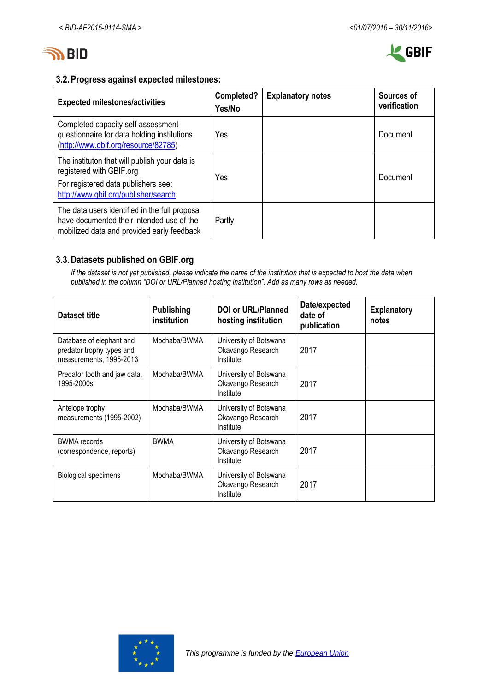



# **3.2.Progress against expected milestones:**

| <b>Expected milestones/activities</b>                                                                                                                    | Completed?<br>Yes/No | <b>Explanatory notes</b> | Sources of<br>verification |
|----------------------------------------------------------------------------------------------------------------------------------------------------------|----------------------|--------------------------|----------------------------|
| Completed capacity self-assessment<br>questionnaire for data holding institutions<br>(http://www.gbif.org/resource/82785)                                | Yes                  |                          | Document                   |
| The instituton that will publish your data is<br>registered with GBIF.org<br>For registered data publishers see:<br>http://www.gbif.org/publisher/search | Yes                  |                          | Document                   |
| The data users identified in the full proposal<br>have documented their intended use of the<br>mobilized data and provided early feedback                | Partly               |                          |                            |

# **3.3.Datasets published on GBIF.org**

*If the dataset is not yet published, please indicate the name of the institution that is expected to host the data when published in the column "DOI or URL/Planned hosting institution". Add as many rows as needed.*

| Dataset title                                                                    | <b>Publishing</b><br>institution | <b>DOI or URL/Planned</b><br>hosting institution         | Date/expected<br>date of<br>publication | <b>Explanatory</b><br>notes |
|----------------------------------------------------------------------------------|----------------------------------|----------------------------------------------------------|-----------------------------------------|-----------------------------|
| Database of elephant and<br>predator trophy types and<br>measurements, 1995-2013 | Mochaba/BWMA                     | University of Botswana<br>Okavango Research<br>Institute | 2017                                    |                             |
| Predator tooth and jaw data,<br>1995-2000s                                       | Mochaba/BWMA                     | University of Botswana<br>Okavango Research<br>Institute | 2017                                    |                             |
| Antelope trophy<br>measurements (1995-2002)                                      | Mochaba/BWMA                     | University of Botswana<br>Okavango Research<br>Institute | 2017                                    |                             |
| <b>BWMA</b> records<br>(correspondence, reports)                                 | <b>BWMA</b>                      | University of Botswana<br>Okavango Research<br>Institute | 2017                                    |                             |
| <b>Biological specimens</b>                                                      | Mochaba/BWMA                     | University of Botswana<br>Okavango Research<br>Institute | 2017                                    |                             |

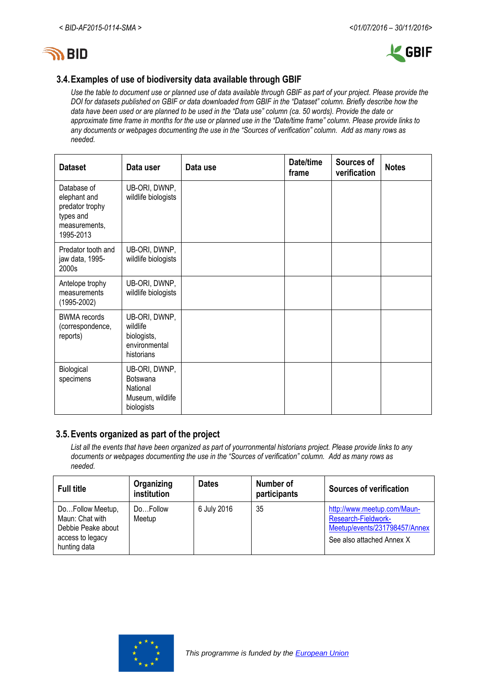



# **3.4.Examples of use of biodiversity data available through GBIF**

*Use the table to document use or planned use of data available through GBIF as part of your project. Please provide the DOI for datasets published on GBIF or data downloaded from GBIF in the "Dataset" column. Briefly describe how the data have been used or are planned to be used in the "Data use" column (ca. 50 words). Provide the date or approximate time frame in months for the use or planned use in the "Date/time frame" column. Please provide links to any documents or webpages documenting the use in the "Sources of verification" column. Add as many rows as needed.*

| <b>Dataset</b>                                                                            | Data user                                                               | Data use | Date/time<br>frame | Sources of<br>verification | <b>Notes</b> |
|-------------------------------------------------------------------------------------------|-------------------------------------------------------------------------|----------|--------------------|----------------------------|--------------|
| Database of<br>elephant and<br>predator trophy<br>types and<br>measurements,<br>1995-2013 | UB-ORI, DWNP,<br>wildlife biologists                                    |          |                    |                            |              |
| Predator tooth and<br>jaw data, 1995-<br>2000s                                            | UB-ORI, DWNP,<br>wildlife biologists                                    |          |                    |                            |              |
| Antelope trophy<br>measurements<br>$(1995 - 2002)$                                        | UB-ORI, DWNP,<br>wildlife biologists                                    |          |                    |                            |              |
| <b>BWMA</b> records<br>(correspondence,<br>reports)                                       | UB-ORI, DWNP,<br>wildlife<br>biologists,<br>environmental<br>historians |          |                    |                            |              |
| Biological<br>specimens                                                                   | UB-ORI, DWNP,<br>Botswana<br>National<br>Museum, wildlife<br>biologists |          |                    |                            |              |

# **3.5.Events organized as part of the project**

*List all the events that have been organized as part of yourronmental historians project. Please provide links to any documents or webpages documenting the use in the "Sources of verification" column. Add as many rows as needed.*

| <b>Full title</b>                                                                             | Organizing<br>institution | <b>Dates</b> | Number of<br>participants | <b>Sources of verification</b>                                                                                   |
|-----------------------------------------------------------------------------------------------|---------------------------|--------------|---------------------------|------------------------------------------------------------------------------------------------------------------|
| DoFollow Meetup,<br>Maun: Chat with<br>Debbie Peake about<br>access to legacy<br>hunting data | DoFollow<br>Meetup        | 6 July 2016  | 35                        | http://www.meetup.com/Maun-<br>Research-Fieldwork-<br>Meetup/events/231798457/Annex<br>See also attached Annex X |

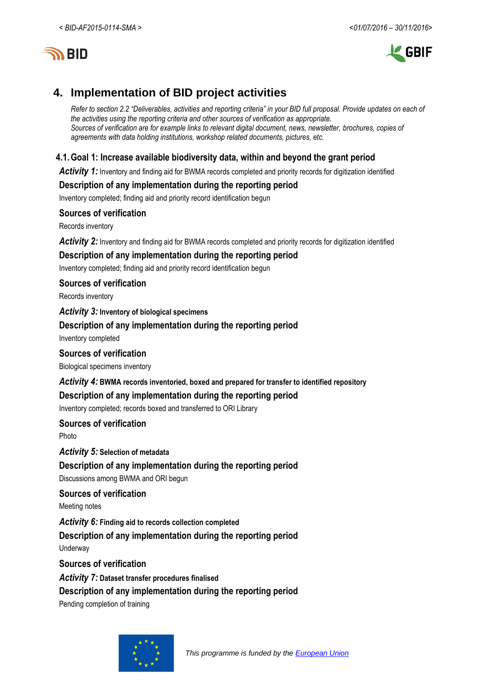



# **4. Implementation of BID project activities**

*Refer to section 2.2 "Deliverables, activities and reporting criteria" in your BID full proposal. Provide updates on each of the activities using the reporting criteria and other sources of verification as appropriate. Sources of verification are for example links to relevant digital document, news, newsletter, brochures, copies of agreements with data holding institutions, workshop related documents, pictures, etc.*

# **4.1.Goal 1: Increase available biodiversity data, within and beyond the grant period**

Activity 1: Inventory and finding aid for BWMA records completed and priority records for digitization identified

# **Description of any implementation during the reporting period**

Inventory completed; finding aid and priority record identification begun

## **Sources of verification**

Records inventory

*Activity 2:* Inventory and finding aid for BWMA records completed and priority records for digitization identified

## **Description of any implementation during the reporting period**

Inventory completed; finding aid and priority record identification begun

## **Sources of verification**

Records inventory

## *Activity 3:* **Inventory of biological specimens**

## **Description of any implementation during the reporting period**

Inventory completed

## **Sources of verification**

Biological specimens inventory

## *Activity 4:* **BWMA records inventoried, boxed and prepared for transfer to identified repository**

# **Description of any implementation during the reporting period**

Inventory completed; records boxed and transferred to ORI Library

## **Sources of verification**

Photo

*Activity 5:* **Selection of metadata**

# **Description of any implementation during the reporting period**

Discussions among BWMA and ORI begun

# **Sources of verification**

Meeting notes

*Activity 6:* **Finding aid to records collection completed**

# **Description of any implementation during the reporting period**

**Underway** 

## **Sources of verification**

*Activity 7:* **Dataset transfer procedures finalised**

## **Description of any implementation during the reporting period**

Pending completion of training

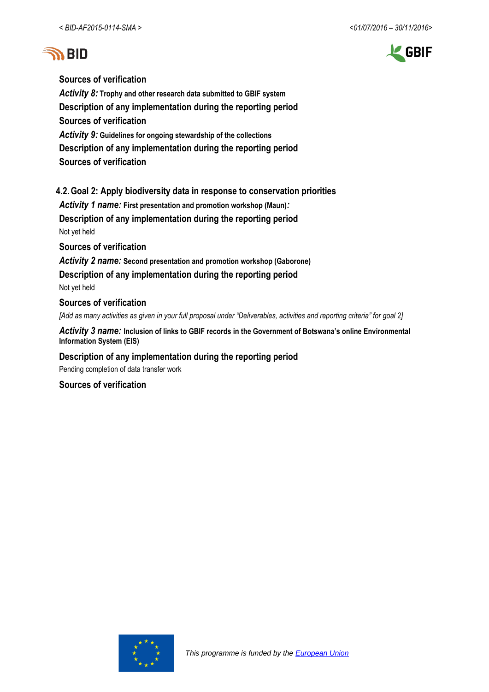



**Sources of verification**

*Activity 8:* **Trophy and other research data submitted to GBIF system Description of any implementation during the reporting period Sources of verification** *Activity 9:* **Guidelines for ongoing stewardship of the collections Description of any implementation during the reporting period**

**Sources of verification**

# **4.2.Goal 2: Apply biodiversity data in response to conservation priorities**

*Activity 1 name:* **First presentation and promotion workshop (Maun)***:*

**Description of any implementation during the reporting period** Not yet held

**Sources of verification**

*Activity 2 name:* **Second presentation and promotion workshop (Gaborone) Description of any implementation during the reporting period** Not yet held

#### **Sources of verification**

*[Add as many activities as given in your full proposal under "Deliverables, activities and reporting criteria" for goal 2]*

*Activity 3 name:* **Inclusion of links to GBIF records in the Government of Botswana's online Environmental Information System (EIS)**

## **Description of any implementation during the reporting period**

Pending completion of data transfer work

## **Sources of verification**

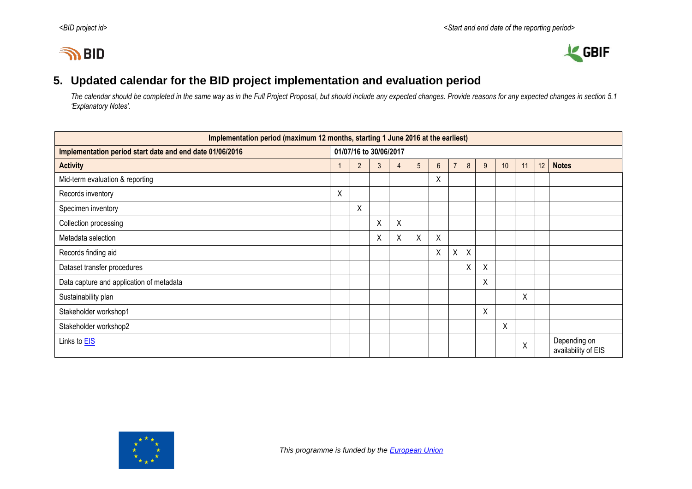# **IN BID**



# **5. Updated calendar for the BID project implementation and evaluation period**

*The calendar should be completed in the same way as in the Full Project Proposal, but should include any expected changes. Provide reasons for any expected changes in section 5.1 'Explanatory Notes'.*

| Implementation period (maximum 12 months, starting 1 June 2016 at the earliest) |                        |                                                                                                          |   |   |   |                           |   |         |   |   |   |  |                                     |
|---------------------------------------------------------------------------------|------------------------|----------------------------------------------------------------------------------------------------------|---|---|---|---------------------------|---|---------|---|---|---|--|-------------------------------------|
| Implementation period start date and end date 01/06/2016                        | 01/07/16 to 30/06/2017 |                                                                                                          |   |   |   |                           |   |         |   |   |   |  |                                     |
| <b>Activity</b>                                                                 |                        | 12<br>$\overline{7}$<br>8<br><b>Notes</b><br>$\overline{2}$<br>5<br>9<br>10<br>$6\phantom{1}$<br>11<br>4 |   |   |   |                           |   |         |   |   |   |  |                                     |
| Mid-term evaluation & reporting                                                 |                        |                                                                                                          |   |   |   | X                         |   |         |   |   |   |  |                                     |
| Records inventory                                                               | X                      |                                                                                                          |   |   |   |                           |   |         |   |   |   |  |                                     |
| Specimen inventory                                                              |                        | Χ                                                                                                        |   |   |   |                           |   |         |   |   |   |  |                                     |
| Collection processing                                                           |                        |                                                                                                          | Χ | Χ |   |                           |   |         |   |   |   |  |                                     |
| Metadata selection                                                              |                        |                                                                                                          | X | Χ | Χ | $\boldsymbol{\mathsf{X}}$ |   |         |   |   |   |  |                                     |
| Records finding aid                                                             |                        |                                                                                                          |   |   |   | $\sf X$                   | Χ | $\sf X$ |   |   |   |  |                                     |
| Dataset transfer procedures                                                     |                        |                                                                                                          |   |   |   |                           |   | X       | X |   |   |  |                                     |
| Data capture and application of metadata                                        |                        |                                                                                                          |   |   |   |                           |   |         | Χ |   |   |  |                                     |
| Sustainability plan                                                             |                        |                                                                                                          |   |   |   |                           |   |         |   |   | X |  |                                     |
| Stakeholder workshop1                                                           |                        |                                                                                                          |   |   |   |                           |   |         | X |   |   |  |                                     |
| Stakeholder workshop2                                                           |                        |                                                                                                          |   |   |   |                           |   |         |   | X |   |  |                                     |
| Links to <b>EIS</b>                                                             |                        |                                                                                                          |   |   |   |                           |   |         |   |   | X |  | Depending on<br>availability of EIS |

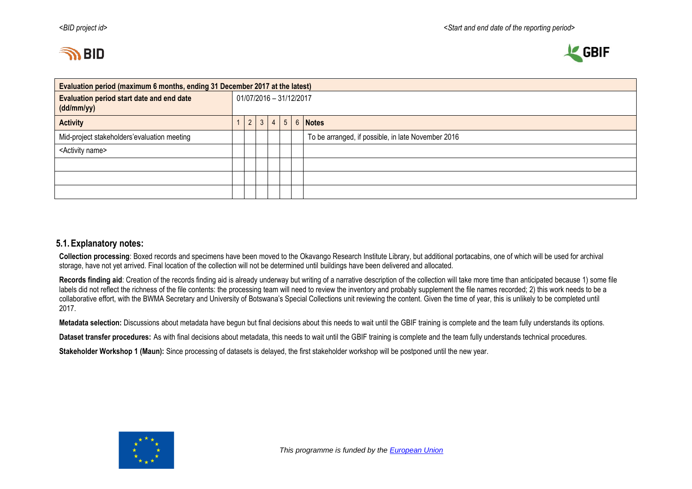



| Evaluation period (maximum 6 months, ending 31 December 2017 at the latest) |  |                         |            |           |  |  |                                                    |  |  |
|-----------------------------------------------------------------------------|--|-------------------------|------------|-----------|--|--|----------------------------------------------------|--|--|
| Evaluation period start date and end date<br>(dd/mm/yy)                     |  | 01/07/2016 - 31/12/2017 |            |           |  |  |                                                    |  |  |
| <b>Activity</b>                                                             |  |                         | $2 \mid 3$ | $\vert$ 4 |  |  | $5 \mid 6 \mid$ Notes                              |  |  |
| Mid-project stakeholders'evaluation meeting                                 |  |                         |            |           |  |  | To be arranged, if possible, in late November 2016 |  |  |
| <activity name=""></activity>                                               |  |                         |            |           |  |  |                                                    |  |  |
|                                                                             |  |                         |            |           |  |  |                                                    |  |  |
|                                                                             |  |                         |            |           |  |  |                                                    |  |  |
|                                                                             |  |                         |            |           |  |  |                                                    |  |  |

## **5.1.Explanatory notes:**

**Collection processing**: Boxed records and specimens have been moved to the Okavango Research Institute Library, but additional portacabins, one of which will be used for archival storage, have not yet arrived. Final location of the collection will not be determined until buildings have been delivered and allocated.

Records finding aid: Creation of the records finding aid is already underway but writing of a narrative description of the collection will take more time than anticipated because 1) some file labels did not reflect the richness of the file contents: the processing team will need to review the inventory and probably supplement the file names recorded; 2) this work needs to be a collaborative effort, with the BWMA Secretary and University of Botswana's Special Collections unit reviewing the content. Given the time of year, this is unlikely to be completed until 2017.

**Metadata selection:** Discussions about metadata have begun but final decisions about this needs to wait until the GBIF training is complete and the team fully understands its options.

**Dataset transfer procedures:** As with final decisions about metadata, this needs to wait until the GBIF training is complete and the team fully understands technical procedures.

**Stakeholder Workshop 1 (Maun):** Since processing of datasets is delayed, the first stakeholder workshop will be postponed until the new year.